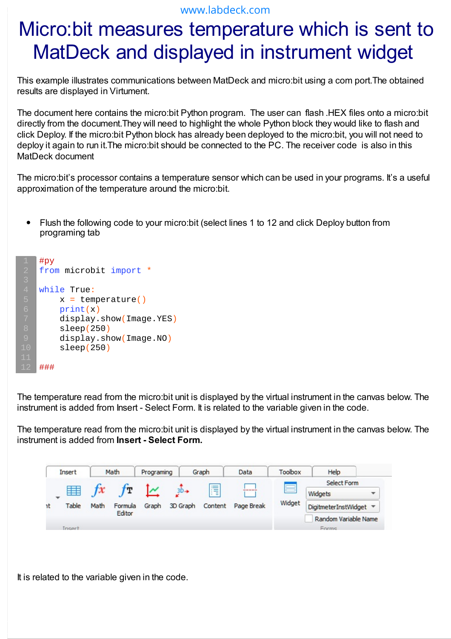## www.labdeck.com

## Micro:bit measures temperature which is sent to MatDeck and displayed in instrument widget

This example illustrates communications between MatDeck and micro:bit using a com port.The obtained results are displayed in Virtument.

The document here contains the micro:bit Python program. The user can flash .HEX files onto a micro:bit directly from the document.They will need to highlight the whole Python block they would like to flash and click Deploy. If the micro:bit Python block has already been deployed to the micro:bit, you will not need to deploy it again to run it.The micro:bit should be connected to the PC. The receiver code is also in this MatDeck document

The micro:bit's processor contains a temperature sensor which can be used in your programs. It's a useful approximation of the temperature around the micro:bit.

Flush the following code to your micro:bit (select lines 1 to 12 and click Deploy button from  $\bullet$ programing tab

```
#py
from microbit import *
while True:
    x = temperature()
    print(x)
     display.show(Image.YES)
     sleep(250)
     display.show(Image.NO)
     sleep(250)
###
```
The temperature read from the micro:bit unit is displayed by the virtual instrument in the canvas below. The instrument is added from Insert - Select Form. It is related to the variable given in the code.

The temperature read from the micro:bit unit is displayed by the virtual instrument in the canvas below. The instrument is added from **Insert - Select Form.**

| Insert |                 | Math        |                         | Programing |                   | Graph        | Data                | Toolbox                                       | Help                   |  |
|--------|-----------------|-------------|-------------------------|------------|-------------------|--------------|---------------------|-----------------------------------------------|------------------------|--|
| ٦t     | 手<br>÷<br>Table | f x<br>Math | tт<br>Formula<br>Editor | Graph      | $3D+$<br>3D Graph | Ħ<br>Content | -----<br>Page Break | _<br>--<br>$\overline{\phantom{a}}$<br>Widget | Select Form            |  |
|        |                 |             |                         |            |                   |              |                     |                                               | Widgets<br>▼           |  |
|        |                 |             |                         |            |                   |              |                     |                                               | DigitmeterInstWidget v |  |
|        |                 |             |                         |            |                   |              |                     |                                               | Random Variable Name   |  |
|        | Insert          |             |                         |            |                   |              | <b>Enrms</b>        |                                               |                        |  |

It is related to the variable given in the code.